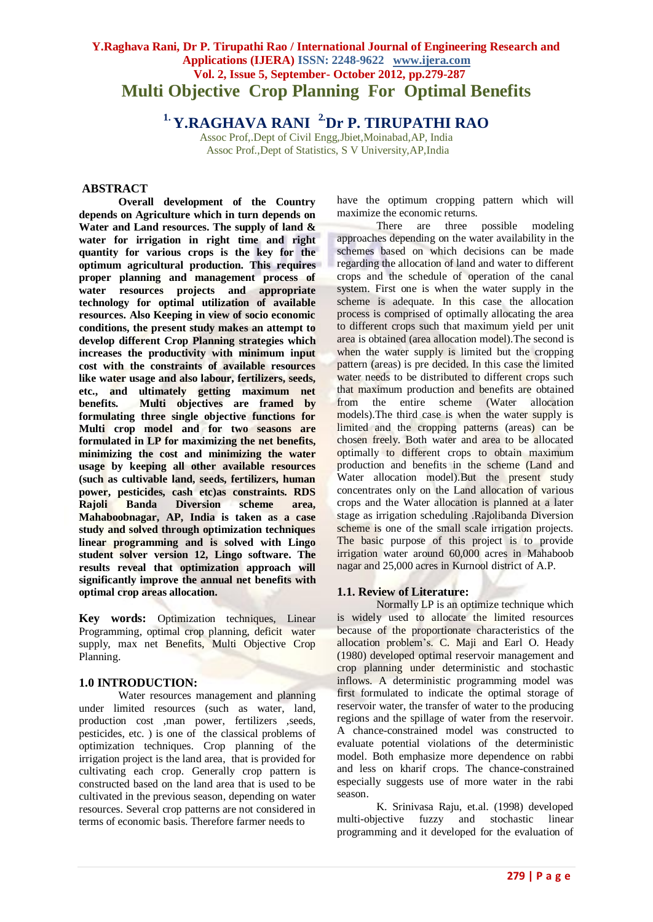### **Y.Raghava Rani, Dr P. Tirupathi Rao / International Journal of Engineering Research and Applications (IJERA) ISSN: 2248-9622 www.ijera.com Vol. 2, Issue 5, September- October 2012, pp.279-287 Multi Objective Crop Planning For Optimal Benefits**

**1. Y.RAGHAVA RANI 2.Dr P. TIRUPATHI RAO**

Assoc Prof,.Dept of Civil Engg,Jbiet,Moinabad,AP, India Assoc Prof.,Dept of Statistics, S V University,AP,India

### **ABSTRACT**

**Overall development of the Country depends on Agriculture which in turn depends on Water and Land resources. The supply of land & water for irrigation in right time and right quantity for various crops is the key for the optimum agricultural production. This requires proper planning and management process of water resources projects and appropriate technology for optimal utilization of available resources. Also Keeping in view of socio economic conditions, the present study makes an attempt to develop different Crop Planning strategies which increases the productivity with minimum input cost with the constraints of available resources like water usage and also labour, fertilizers, seeds, etc., and ultimately getting maximum net benefits. Multi objectives are framed by formulating three single objective functions for Multi crop model and for two seasons are formulated in LP for maximizing the net benefits, minimizing the cost and minimizing the water usage by keeping all other available resources (such as cultivable land, seeds, fertilizers, human power, pesticides, cash etc)as constraints. RDS Rajoli Banda Diversion scheme area, Mahaboobnagar, AP, India is taken as a case study and solved through optimization techniques linear programming and is solved with Lingo student solver version 12, Lingo software. The results reveal that optimization approach will significantly improve the annual net benefits with optimal crop areas allocation.**

**Key words:** Optimization techniques, Linear Programming, optimal crop planning, deficit water supply, max net Benefits, Multi Objective Crop Planning.

#### **1.0 INTRODUCTION:**

Water resources management and planning under limited resources (such as water, land, production cost ,man power, fertilizers ,seeds, pesticides, etc. ) is one of the classical problems of optimization techniques. Crop planning of the irrigation project is the land area, that is provided for cultivating each crop. Generally crop pattern is constructed based on the land area that is used to be cultivated in the previous season, depending on water resources. Several crop patterns are not considered in terms of economic basis. Therefore farmer needs to

have the optimum cropping pattern which will maximize the economic returns.

There are three possible modeling approaches depending on the water availability in the schemes based on which decisions can be made regarding the allocation of land and water to different crops and the schedule of operation of the canal system. First one is when the water supply in the scheme is adequate. In this case the allocation process is comprised of optimally allocating the area to different crops such that maximum yield per unit area is obtained (area allocation model).The second is when the water supply is limited but the cropping pattern (areas) is pre decided. In this case the limited water needs to be distributed to different crops such that maximum production and benefits are obtained from the entire scheme (Water allocation models).The third case is when the water supply is limited and the cropping patterns (areas) can be chosen freely. Both water and area to be allocated optimally to different crops to obtain maximum production and benefits in the scheme (Land and Water allocation model).But the present study concentrates only on the Land allocation of various crops and the Water allocation is planned at a later stage as irrigation scheduling .Rajolibanda Diversion scheme is one of the small scale irrigation projects. The basic purpose of this project is to provide irrigation water around 60,000 acres in Mahaboob nagar and 25,000 acres in Kurnool district of A.P.

#### **1.1. Review of Literature:**

Normally LP is an optimize technique which is widely used to allocate the limited resources because of the proportionate characteristics of the allocation problem's. C. Maji and Earl O. Heady (1980) developed optimal reservoir management and crop planning under deterministic and stochastic inflows. A deterministic programming model was first formulated to indicate the optimal storage of reservoir water, the transfer of water to the producing regions and the spillage of water from the reservoir. A chance-constrained model was constructed to evaluate potential violations of the deterministic model. Both emphasize more dependence on rabbi and less on kharif crops. The chance-constrained especially suggests use of more water in the rabi season.

K. Srinivasa Raju, et.al. (1998) developed multi-objective fuzzy and stochastic linear programming and it developed for the evaluation of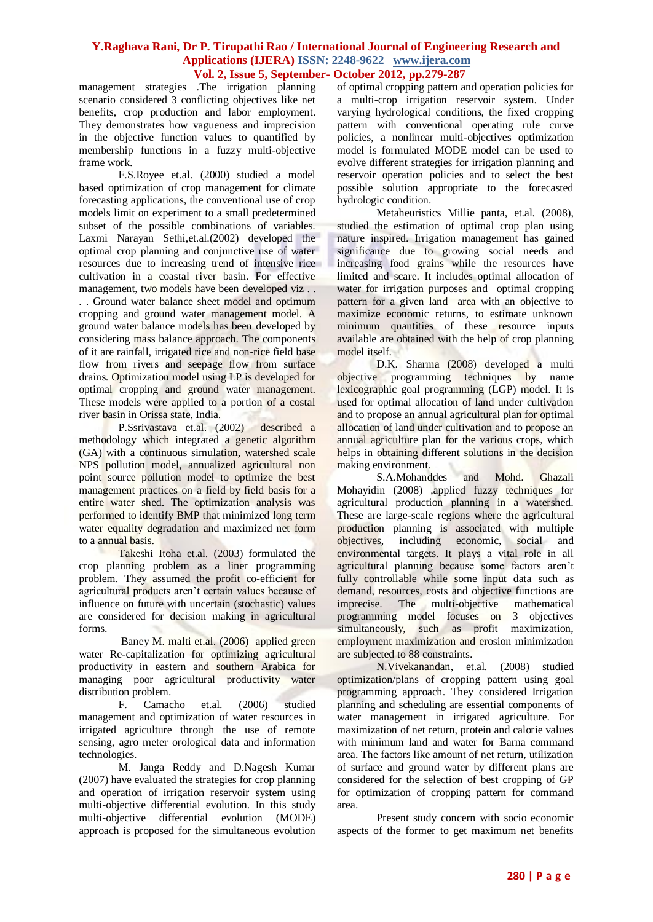management strategies .The irrigation planning scenario considered 3 conflicting objectives like net benefits, crop production and labor employment. They demonstrates how vagueness and imprecision in the objective function values to quantified by membership functions in a fuzzy multi-objective frame work.

F.S.Royee et.al. (2000) studied a model based optimization of crop management for climate forecasting applications, the conventional use of crop models limit on experiment to a small predetermined subset of the possible combinations of variables. Laxmi Narayan Sethi,et.al.(2002) developed the optimal crop planning and conjunctive use of water resources due to increasing trend of intensive rice cultivation in a coastal river basin. For effective management, two models have been developed viz . .

. . Ground water balance sheet model and optimum cropping and ground water management model. A ground water balance models has been developed by considering mass balance approach. The components of it are rainfall, irrigated rice and non-rice field base flow from rivers and seepage flow from surface drains. Optimization model using LP is developed for optimal cropping and ground water management. These models were applied to a portion of a costal river basin in Orissa state, India.

P.Ssrivastava et.al. (2002) described a methodology which integrated a genetic algorithm (GA) with a continuous simulation, watershed scale NPS pollution model, annualized agricultural non point source pollution model to optimize the best management practices on a field by field basis for a entire water shed. The optimization analysis was performed to identify BMP that minimized long term water equality degradation and maximized net form to a annual basis.

Takeshi Itoha et.al. (2003) formulated the crop planning problem as a liner programming problem. They assumed the profit co-efficient for agricultural products aren't certain values because of influence on future with uncertain (stochastic) values are considered for decision making in agricultural forms.

Baney M. malti et.al. (2006) applied green water Re-capitalization for optimizing agricultural productivity in eastern and southern Arabica for managing poor agricultural productivity water distribution problem.

F. Camacho et.al. (2006) studied management and optimization of water resources in irrigated agriculture through the use of remote sensing, agro meter orological data and information technologies.

M. Janga Reddy and D.Nagesh Kumar (2007) have evaluated the strategies for crop planning and operation of irrigation reservoir system using multi-objective differential evolution. In this study multi-objective differential evolution (MODE) approach is proposed for the simultaneous evolution

of optimal cropping pattern and operation policies for a multi-crop irrigation reservoir system. Under varying hydrological conditions, the fixed cropping pattern with conventional operating rule curve policies, a nonlinear multi-objectives optimization model is formulated MODE model can be used to evolve different strategies for irrigation planning and reservoir operation policies and to select the best possible solution appropriate to the forecasted hydrologic condition.

Metaheuristics Millie panta, et.al. (2008), studied the estimation of optimal crop plan using nature inspired. Irrigation management has gained significance due to growing social needs and increasing food grains while the resources have limited and scare. It includes optimal allocation of water for irrigation purposes and optimal cropping pattern for a given land area with an objective to maximize economic returns, to estimate unknown minimum quantities of these resource inputs available are obtained with the help of crop planning model itself.

D.K. Sharma (2008) developed a multi objective programming techniques by name lexicographic goal programming (LGP) model. It is used for optimal allocation of land under cultivation and to propose an annual agricultural plan for optimal allocation of land under cultivation and to propose an annual agriculture plan for the various crops, which helps in obtaining different solutions in the decision making environment.

S.A.Mohanddes and Mohd. Ghazali Mohayidin (2008) ,applied fuzzy techniques for agricultural production planning in a watershed. These are large-scale regions where the agricultural production planning is associated with multiple objectives, including economic, social and environmental targets. It plays a vital role in all agricultural planning because some factors aren't fully controllable while some input data such as demand, resources, costs and objective functions are imprecise. The multi-objective mathematical programming model focuses on 3 objectives simultaneously, such as profit maximization, employment maximization and erosion minimization are subjected to 88 constraints.

N.Vivekanandan, et.al. (2008) studied optimization/plans of cropping pattern using goal programming approach. They considered Irrigation planning and scheduling are essential components of water management in irrigated agriculture. For maximization of net return, protein and calorie values with minimum land and water for Barna command area. The factors like amount of net return, utilization of surface and ground water by different plans are considered for the selection of best cropping of GP for optimization of cropping pattern for command area.

Present study concern with socio economic aspects of the former to get maximum net benefits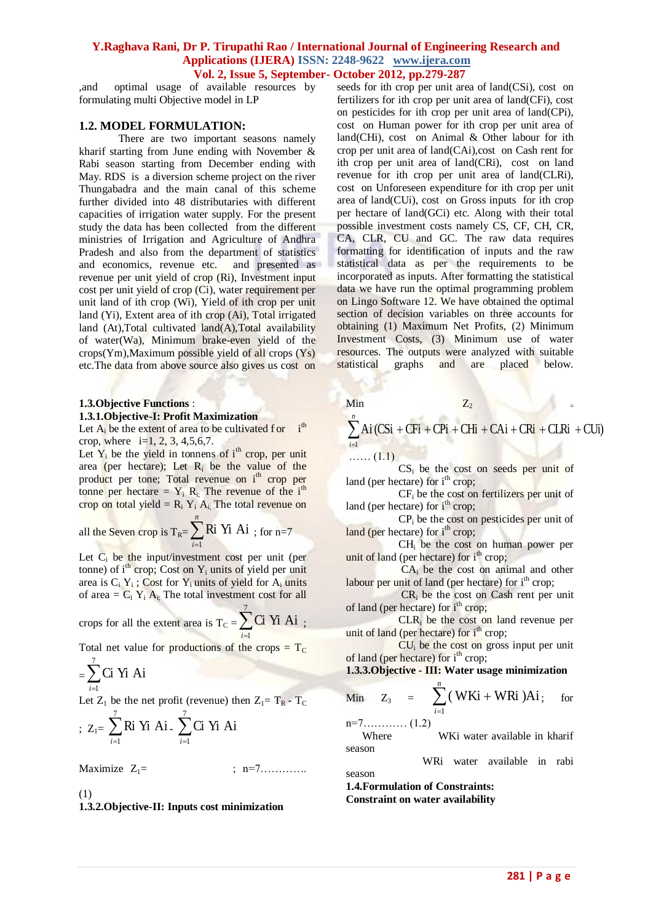,and optimal usage of available resources by formulating multi Objective model in LP

#### **1.2. MODEL FORMULATION:**

There are two important seasons namely kharif starting from June ending with November & Rabi season starting from December ending with May. RDS is a diversion scheme project on the river Thungabadra and the main canal of this scheme further divided into 48 distributaries with different capacities of irrigation water supply. For the present study the data has been collected from the different ministries of Irrigation and Agriculture of Andhra Pradesh and also from the department of statistics and economics, revenue etc. and presented as revenue per unit yield of crop (Ri), Investment input cost per unit yield of crop (Ci), water requirement per unit land of ith crop (Wi), Yield of ith crop per unit land (Yi), Extent area of ith crop (Ai), Total irrigated land (At),Total cultivated land(A),Total availability of water(Wa), Minimum brake-even yield of the crops(Ym),Maximum possible yield of all crops (Ys) etc.The data from above source also gives us cost on

# **1.3[.Objective Functions](../Desktop/objective%20functions&constraints.docx)** :

## **1.3.1.Objective-I: Profit Maximization**

Let  $A_i$  be the extent of area to be cultivated for i<sup>th</sup> crop, where  $i=1, 2, 3, 4, 5, 6, 7$ .

Let  $Y_i$  be the yield in tonnens of i<sup>th</sup> crop, per unit area (per hectare); Let  $R_i$  be the value of the product per tone; Total revenue on i<sup>th</sup> crop per tonne per hectare =  $Y_i$  R<sub>i</sub>; The revenue of the i<sup>th</sup> crop on total yield =  $R_i Y_i A_i$ . The total revenue on

all the Seven crop is  $T_R = \sum_{i=1}^{n}$ *n*  $i=1$  $\overline{R}$ i Yi Ai ; for n=7

Let  $C_i$  be the input/investment cost per unit (per tonne) of  $i<sup>th</sup>$  crop; Cost on Y<sub>i</sub> units of yield per unit area is  $C_i Y_i$ ; Cost for  $Y_i$  units of yield for  $A_i$  units of area =  $C_i Y_i A_i$ ; The total investment cost for all

crops for all the extent area is 
$$
T_c = \sum_{i=1}^{7} G_i Y_i A_i
$$
;

Total net value for productions of the crops =  $T_c$ 

 $=\sum$  $=$ 1 Ci Yi Ai *i*

Let  $Z_1$  be the net profit (revenue) then  $Z_1 = T_R - T_C$ 

; 
$$
Z_i = \sum_{i=1}^{7} Ri \ Yi \ Ai \ \sum_{i=1}^{7} Ci \ Yi \ Ai
$$

Maximize  $Z_1 =$  ; n=7..............

(1)

**1.3.2.Objective-II: Inputs cost minimization**

seeds for ith crop per unit area of land(CSi), cost on fertilizers for ith crop per unit area of land(CFi), cost on pesticides for ith crop per unit area of land(CPi), cost on Human power for ith crop per unit area of land(CHi), cost on Animal & Other labour for ith crop per unit area of land(CAi),cost on Cash rent for ith crop per unit area of land(CRi), cost on land revenue for ith crop per unit area of land(CLRi), cost on Unforeseen expenditure for ith crop per unit area of land(CUi), cost on Gross inputs for ith crop per hectare of land(GCi) etc. Along with their total possible investment costs namely CS, CF, CH, CR, CA, CLR, CU and GC. The raw data requires formatting for identification of inputs and the raw statistical data as per the requirements to be incorporated as inputs. After formatting the statistical data we have run the optimal programming problem on Lingo Software 12. We have obtained the optimal section of decision variables on three accounts for obtaining (1) Maximum Net Profits, (2) Minimum Investment Costs, (3) Minimum use of water resources. The outputs were analyzed with suitable statistical graphs and are placed below.

Min  $Z_2$   $=$ 

$$
\sum_{i=1}^{n} Ai (CSi + CFi + CFi + CHi + CAi + CRi + CLRi + CUi)
$$
  
...... (1.1)

 $CS_i$  be the cost on seeds per unit of land (per hectare) for  $i<sup>th</sup>$  crop;

 $CF<sub>i</sub>$  be the cost on fertilizers per unit of land (per hectare) for  $i<sup>th</sup>$  crop;

 $CP<sub>i</sub>$  be the cost on pesticides per unit of land (per hectare) for  $i<sup>th</sup>$  crop;

CH<sup>i</sup> be the cost on human power per unit of land (per hectare) for  $i<sup>th</sup>$  crop;

 $CA<sub>i</sub>$  be the cost on animal and other labour per unit of land (per hectare) for  $i<sup>th</sup>$  crop;

 $CR<sub>i</sub>$  be the cost on Cash rent per unit of land (per hectare) for i<sup>th</sup> crop;

CLR<sup>i</sup> be the cost on land revenue per unit of land (per hectare) for  $i<sup>th</sup>$  crop;

CU<sup>i</sup> be the cost on gross input per unit of land (per hectare) for  $i<sup>th</sup>$  crop;

**1.3.3.Objective - III: Water usage minimization**

$$
\begin{array}{rcl}\n\text{Min} & Z_3 & = & \sum_{i=1}^{n} \left( \text{WKi} + \text{WRi} \right) \text{Ai}; \\
\text{for} \quad \end{array}
$$

n=7………… (1.2)

Where WKi water available in kharif season

WRi water available in rabi

season

**1.4.Formulation of Constraints: Constraint on water availability**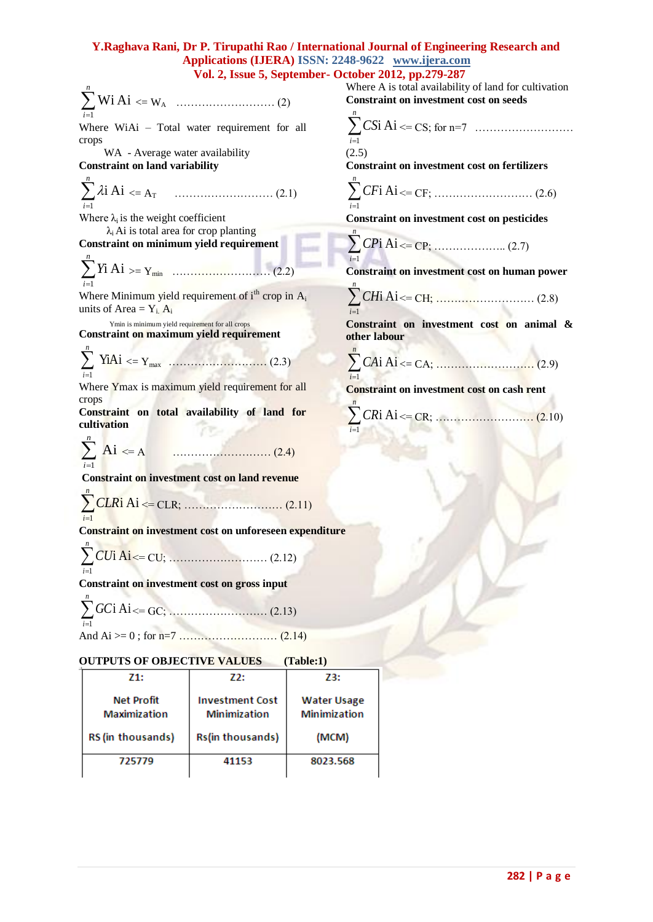$\sum_{n=1}^{n} Y(X | A) = Y(x)$ <br>
When Widi - 1 total wate requirement for all  $\sum_{n=1}^{n} (Y(X | A) - (X))$ <br> **Constraint on investment for all**  $\sum_{n=1}^{n} (Y(X | A) - (X))$ **<br>
Constraint on investment constraint on investment constraint on inves**  $i = 1$ Wi Ai <= WA ……………………… (2) Where WiAi – Total water requirement for all crops WA - Average water availability **Constraint on land variability**   $\sum_{i=1}$ *n*  $i = 1$ i Ai <= AT ……………………… (2.1) Where  $\lambda_i$  is the weight coefficient  $\lambda_i$  Ai is total area for crop planting **Constraint on minimum yield requirement** *Y* i Ai >= Ymin ……………………… (2.2) *n i* 1 Where Minimum yield requirement of  $i<sup>th</sup>$  crop in  $A<sub>i</sub>$ units of Area =  $Y_i$ . A<sub>i</sub> Ymin is minimum yield requirement for all crops **Constraint on maximum yield requirement**  $\sum_{i=1}$ *n i*=1 YiAi <= Ymax ……………………… (2.3) Where Ymax is maximum yield requirement for all crops **Constraint on total availability of land for cultivation**   $\sum_{i=1}^{\infty}$ *n*  $i = 1$  $Ai \leq A$ <= A ……………………… (2.4)  $\sum$  $\equiv$ *n i CS* 1 i Ai (2.5)  $\sum_{i=1}$ *n CF* 1 i Ai  $\sum$  $\equiv$ *n i CP* 1 i Ai  $\sum$  $\overline{a}$ *n i CH* 1 i Ai **other labour**  $\sum$  $=$ *n i CA* 1 i Ai  $\sum$ Ξ *n i CR* 1 i Ai **Constraint on investment cost on land revenue**   $\sum_{n=1}^{n}$ = *i CLR* i Ai <= CLR; ……………………… (2.11) 1 **Constraint on investment cost on unforeseen expenditure**  *CU* i Ai <= CU; ……………………… (2.12)  $=$ *n i* 1 **Constraint on investment cost on gross input**

 *n i GC* 1 i Ai <= GC; ……………………… (2.13)

*n*

And Ai >= 0 ; for n=7 ……………………… (2.14)

#### **OUTPUTS OF OBJECTIVE VALUES (Table:1)**

| 71:                                      | 72:                                    | 73:                                |  |
|------------------------------------------|----------------------------------------|------------------------------------|--|
| <b>Net Profit</b><br><b>Maximization</b> | <b>Investment Cost</b><br>Minimization | <b>Water Usage</b><br>Minimization |  |
| RS (in thousands)                        | <b>Rs(in thousands)</b>                | (MCM)                              |  |
| 725779                                   | 41153                                  | 8023.568                           |  |

Where A is total availability of land for cultivation **Constraint on investment cost on seeds**

<= CS; for n=7 ………………………

**Constraint on investment cost on fertilizers**

<= CF; ……………………… (2.6)

**Constraint on investment cost on pesticides**

<= CP; ……………….. (2.7)

**Constraint on investment cost on human power**

<= CH; ……………………… (2.8)

**Constraint on investment cost on animal &** 

$$
\sum_{i=1}^{n} CA_i \text{ Ai} <_{C} CA_i
$$
 (2.9)

**Constraint on investment cost on cash rent**

$$
\sum_{i=1}^{n} CRi \text{ Ai} \ll = \text{CR}; \dots, \dots, \dots, \dots, (2.10)
$$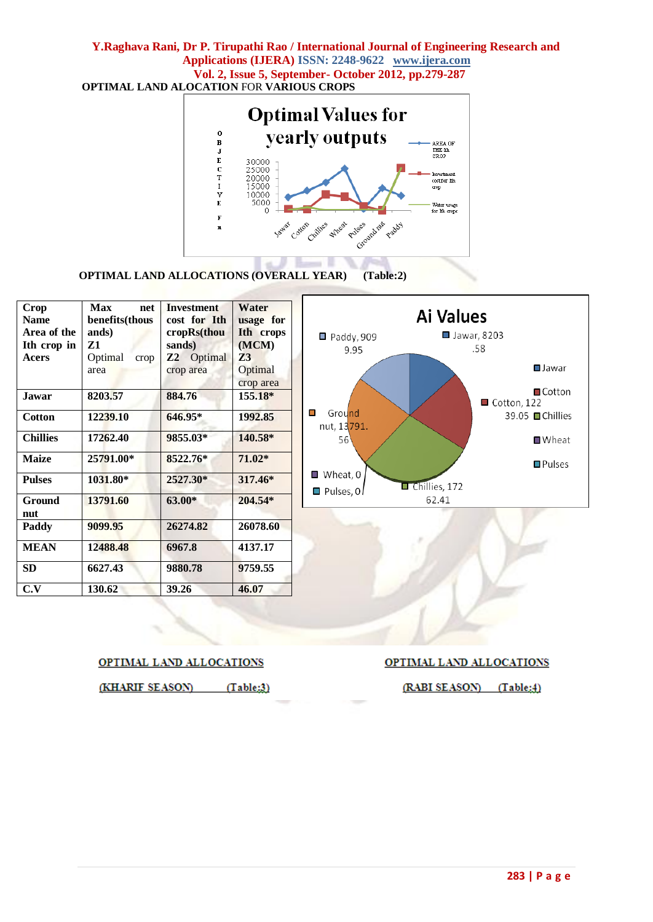#### **Y.Raghava Rani, Dr P. Tirupathi Rao / International Journal of Engineering Research and Applications (IJERA) ISSN: 2248-9622 www.ijera.com Vol. 2, Issue 5, September- October 2012, pp.279-287 OPTIMAL LAND ALOCATION** FOR **VARIOUS CROPS Optimal Values for** yearly outputs  $\mathbf{o}$ B<br>J<br>E AREA OF THE Hh 30000<br>25000<br>20000<br>15000<br>10000<br>5000  $C$  T I V E hwestment<br>cost.for lih<br>crop Water usage<br>for lth crops  $\Omega$  $\mathbf{F}$ Ground nut Chillies wheat pulses Paddy Coston  $\mathbf{r}$

**OPTIMAL LAND ALLOCATIONS (OVERALL YEAR) (Table:2)**

| Crop<br><b>Name</b><br>Area of the<br>Ith crop in<br>Acers | <b>Max</b><br>net<br>benefits(thous<br>ands)<br>Z1<br>Optimal<br>crop<br>area | <b>Investment</b><br>cost for Ith<br>cropRs(thou<br>sands)<br><b>Z2</b> Optimal<br>crop area | Water<br>usage for<br>Ith crops<br>(MCM)<br>Z3<br>Optimal<br>crop area | $\blacksquare$ Paddy, 909<br>9.95 |
|------------------------------------------------------------|-------------------------------------------------------------------------------|----------------------------------------------------------------------------------------------|------------------------------------------------------------------------|-----------------------------------|
| Jawar                                                      | 8203.57                                                                       | 884.76                                                                                       | 155.18*                                                                |                                   |
| <b>Cotton</b>                                              | 12239.10                                                                      | 646.95*                                                                                      | 1992.85                                                                | Ground<br>О<br>nut, 13791.        |
| <b>Chillies</b>                                            | 17262.40                                                                      | 9855.03*                                                                                     | 140.58*                                                                | 56'                               |
| <b>Maize</b>                                               | 25791.00*                                                                     | 8522.76*                                                                                     | 71.02*                                                                 |                                   |
| <b>Pulses</b>                                              | 1031.80*                                                                      | $2527.30*$                                                                                   | $317.46*$                                                              | ■ Wheat, 0<br>Pulses, 0           |
| Ground<br>nut                                              | 13791.60                                                                      | $63.00*$                                                                                     | 204.54*                                                                |                                   |
| Paddy                                                      | 9099.95                                                                       | 26274.82                                                                                     | 26078.60                                                               |                                   |
| <b>MEAN</b>                                                | 12488.48                                                                      | 6967.8                                                                                       | 4137.17                                                                |                                   |
| <b>SD</b>                                                  | 6627.43                                                                       | 9880.78                                                                                      | 9759.55                                                                |                                   |
| C.V                                                        | 130.62                                                                        | 39.26                                                                                        | 46.07                                                                  |                                   |



OPTIMAL LAND ALLOCATIONS

**Ai Values** 

 $\Box$  Chillies, 172 62.41

Jawar, 8203 .58

 $\Box$  Jawar

■Cotton

■ Wheat

 $\n **P**ulses\n$ 

39.05 ■ Chillies

Cotton, 122

(KHARIF SEASON)  $(Table:3)$  (RABI SEASON) (Table:4)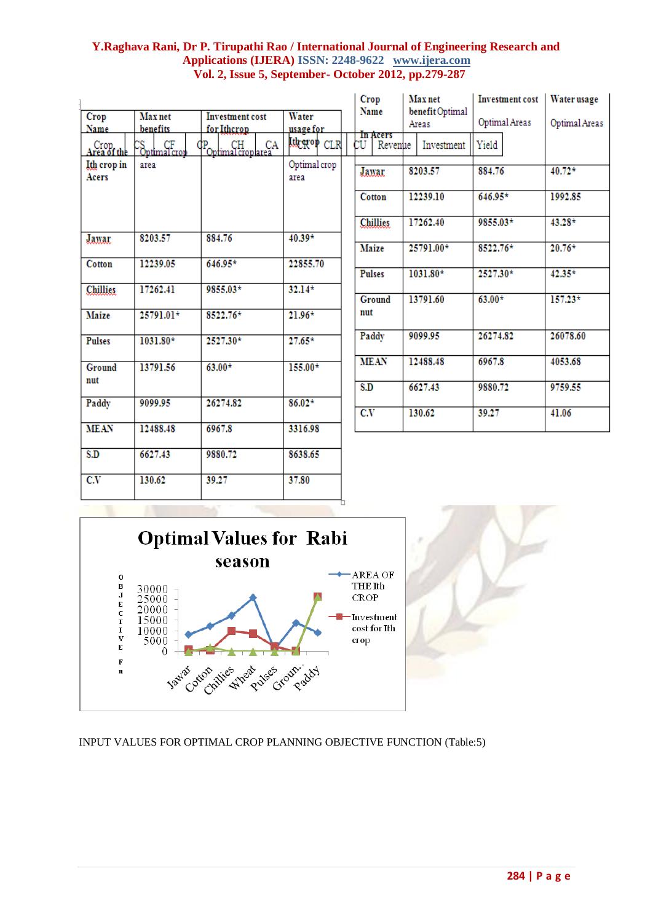|                      |                                                 |                                       |                      | Crop             | <b>Max</b> net           | <b>Investment cost</b> | Water usage   |
|----------------------|-------------------------------------------------|---------------------------------------|----------------------|------------------|--------------------------|------------------------|---------------|
| Crop<br><b>Name</b>  | <b>Max</b> net<br>benefits                      | <b>Investment</b> cost<br>for Ithcrop | Water<br>usage for   | Name<br>In Acers | benefit Optimal<br>Areas | Optimal Areas          | Optimal Areas |
| Crop<br>Area of the  | $\mathcal{C}^\mathcal{S}_{\mathsf{optimal\,})}$ | CA<br>CН<br>Optimal croplarea         | (城Top CLR            | ĊU<br>Revenue    | Investment               | Yield                  |               |
| Ith crop in<br>Acers | area                                            |                                       | Optimal crop<br>area | Jawar            | 8203.57                  | 884.76                 | $40.72*$      |
|                      |                                                 |                                       |                      | Cotton           | 12239.10                 | $646.95*$              | 1992.85       |
|                      |                                                 |                                       |                      | <b>Chillies</b>  | 17262.40                 | 9855.03*               | $43.28*$      |
| Jawar                | 8203.57                                         | 884.76                                | $40.39*$             | Maize            | 25791.00*                | 8522.76*               | $20.76*$      |
| Cotton               | 12239.05                                        | $646.95*$                             | 22855.70             | <b>Pulses</b>    | $1031.80*$               | 2527.30*               | $42.35*$      |
| <b>Chillies</b>      | 17262.41                                        | 9855.03*                              | $32.14*$             | Ground           | 13791.60                 | $63.00*$               | $157.23*$     |
| Maize                | 25791.01*                                       | 8522.76*                              | $21.96*$             | nut              |                          |                        |               |
| <b>Pulses</b>        | $1031.80*$                                      | 2527.30*                              | $27.65*$             | Paddy            | 9099.95                  | 26274.82               | 26078.60      |
| Ground               | 13791.56                                        | $63.00*$                              | 155.00*              | <b>MEAN</b>      | 12488.48                 | 6967.8                 | 4053.68       |
| nut                  |                                                 |                                       |                      | SD               | 6627.43                  | 9880.72                | 9759.55       |
| Paddy                | 9099.95                                         | 26274.82                              | $86.02*$             | C.V              | 130.62                   | 39.27                  | 41.06         |
| <b>MEAN</b>          | 12488.48                                        | 6967.8                                | 3316.98              |                  |                          |                        |               |
| S.D                  | 6627.43                                         | 9880.72                               | 8638.65              |                  |                          |                        |               |
| $\overline{\rm C.V}$ | 130.62                                          | 39.27                                 | 37.80                |                  |                          |                        |               |



INPUT VALUES FOR OPTIMAL CROP PLANNING OBJECTIVE FUNCTION (Table:5)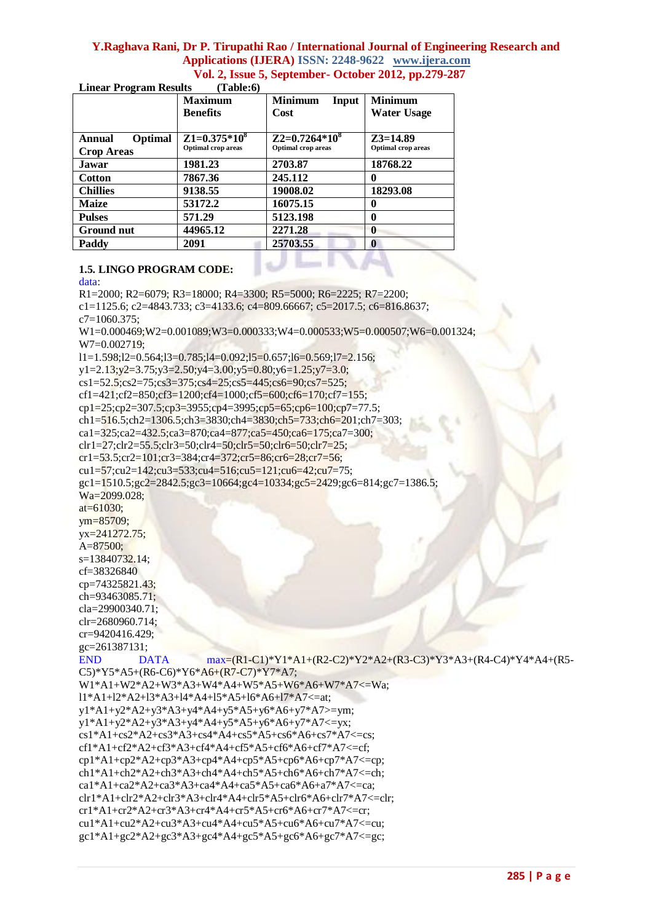**Linear Program Results (Table:6)**

|                          | <b>Maximum</b>             | <b>Minimum</b><br>Input   | <b>Minimum</b>            |
|--------------------------|----------------------------|---------------------------|---------------------------|
|                          | <b>Benefits</b>            | Cost                      | Water Usage               |
|                          |                            |                           |                           |
| Optimal<br><b>Annual</b> | $\overline{Z}1=0.375*10^8$ | $Z2=0.7264*10^8$          | $Z3=14.89$                |
| <b>Crop Areas</b>        | <b>Optimal crop areas</b>  | <b>Optimal</b> crop areas | <b>Optimal</b> crop areas |
| <b>Jawar</b>             | 1981.23                    | 2703.87                   | 18768.22                  |
| <b>Cotton</b>            | 7867.36                    | 245.112                   |                           |
| <b>Chillies</b>          | 9138.55                    | 19008.02                  | 18293.08                  |
| <b>Maize</b>             | 53172.2                    | 16075.15                  | 0                         |
| <b>Pulses</b>            | 571.29                     | 5123.198                  | 0                         |
| <b>Ground nut</b>        | 44965.12                   | 2271.28                   | $\bf{0}$                  |
| Paddy                    | 2091                       | 25703.55                  | 0                         |
|                          |                            |                           |                           |

### **1.5. LINGO PROGRAM CODE:**

data:

R1=2000; R2=6079; R3=18000; R4=3300; R5=5000; R6=2225; R7=2200;

c1=1125.6; c2=4843.733; c3=4133.6; c4=809.66667; c5=2017.5; c6=816.8637;  $c7=1060.375$ ;

W1=0.000469;W2=0.001089;W3=0.000333;W4=0.000533;W5=0.000507;W6=0.001324; W7=0.002719;

 $\sim -1$ 

 $l1=1.598; l2=0.564; l3=0.785; l4=0.092; l5=0.657; l6=0.569; l7=2.156;$ 

y1=2.13;y2=3.75;y3=2.50;y4=3.00;y5=0.80;y6=1.25;y7=3.0;

cs1=52.5;cs2=75;cs3=375;cs4=25;cs5=445;cs6=90;cs7=525;

cf1=421;cf2=850;cf3=1200;cf4=1000;cf5=600;cf6=170;cf7=155;

cp1=25;cp2=307.5;cp3=3955;cp4=3995;cp5=65;cp6=100;cp7=77.5;

ch1=516.5;ch2=1306.5;ch3=3830;ch4=3830;ch5=733;ch6=201;ch7=303;

ca1=325;ca2=432.5;ca3=870;ca4=877;ca5=450;ca6=175;ca7=300;

clr1=27;clr2=55.5;clr3=50;clr4=50;clr5=50;clr6=50;clr7=25;

cr1=53.5;cr2=101;cr3=384;cr4=372;cr5=86;cr6=28;cr7=56;

```
cu1=57;cu2=142;cu3=533;cu4=516;cu5=121;cu6=42;cu7=75;
```
gc1=1510.5;gc2=2842.5;gc3=10664;gc4=10334;gc5=2429;gc6=814;gc7=1386.5; Wa=2099.028;

at=61030;

```
ym=85709;
yx=241272.75;
A=87500;
```

```
s=13840732.14;
```
cf=38326840

```
cp=74325821.43;
```
ch=93463085.71;

```
cla=29900340.71;
```

```
clr=2680960.714;
```

```
cr=9420416.429;
gc=261387131;
```

```
END DATA max=(R1-C1)*Y1*A1+(R2-C2)*Y2*A2+(R3-C3)*Y3*A3+(R4-C4)*Y4*A4+(R5-
C5)*Y5*A5+(R6-C6)*Y6*A6+(R7-C7)*Y7*A7;
W1*A1+W2*A2+W3*A3+W4*A4+W5*A5+W6*A6+W7*A7<=Wa;
l1*A1+l2*A2+l3*A3+l4*A4+l5*A5+l6*A6+l7*A7<=at;
v1*A1+v2*A2+v3*A3+v4*A4+v5*A5+v6*A6+v7*A7>=ym;y1*A1+y2*A2+y3*A3+y4*A4+y5*A5+y6*A6+y7*A7<=yx;
cs1*A1+cs2*A2+cs3*A3+cs4*A4+cs5*A5+cs6*A6+cs7*A7<=cs;
cf1*A1+cf2*A2+cf3*A3+cf4*A4+cf5*A5+cf6*A6+cf7*A7<=cf;
cp1*A1+cp2*A2+cp3*A3+cp4*A4+cp5*A5+cp6*A6+cp7*A7<=cp;
ch1*A1+ch2*A2+ch3*A3+ch4*A4+ch5*A5+ch6*A6+ch7*A7<=ch;
ca1*A1+ca2*A2+ca3*A3+ca4*A4+ca5*A5+ca6*A6+a7*A7<=ca;
chr1*A1+chr2*A2+chr3*A3+chr4*A4+chr5*A5+chr6*A6+chr7*A7<=chr;cr1*A1+cr2*A2+cr3*A3+cr4*A4+cr5*A5+cr6*A6+cr7*A7<=cr;
cu1*A1+cu2*A2+cu3*A3+cu4*A4+cu5*A5+cu6*A6+cu7*A7<=cu;
gc1*A1+gc2*A2+gc3*A3+gc4*A4+gc5*A5+gc6*A6+gc7*A7<=gc;
```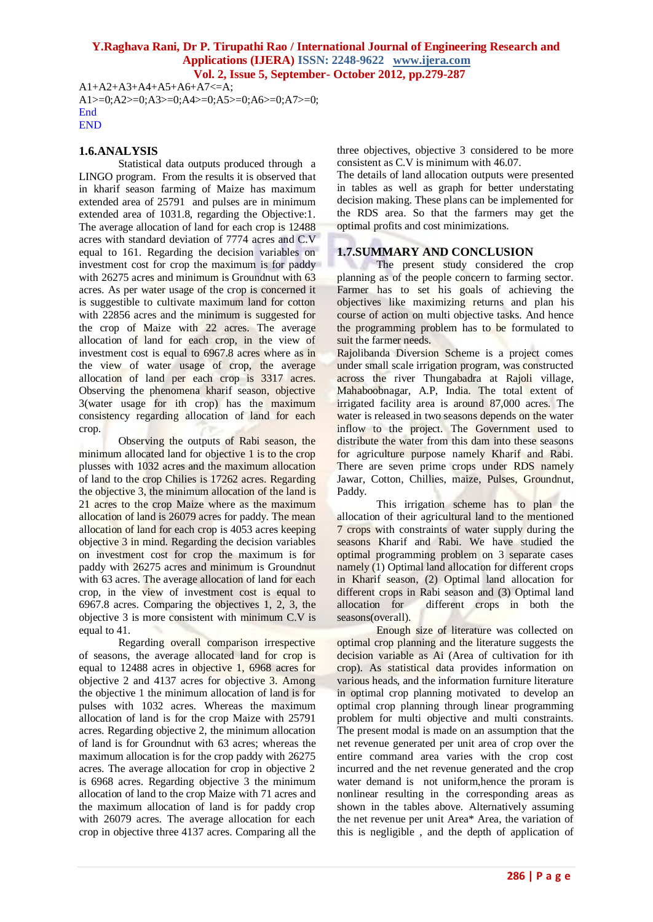A1+A2+A3+A4+A5+A6+A7<=A; A1>=0;A2>=0;A3>=0;A4>=0;A5>=0;A6>=0;A7>=0; **End** END

#### **1.6.ANALYSIS**

Statistical data outputs produced through a LINGO program. From the results it is observed that in kharif season farming of Maize has maximum extended area of 25791 and pulses are in minimum extended area of 1031.8, regarding the Objective:1. The average allocation of land for each crop is 12488 acres with standard deviation of 7774 acres and C.V equal to 161. Regarding the decision variables on investment cost for crop the maximum is for paddy with 26275 acres and minimum is Groundnut with 63 acres. As per water usage of the crop is concerned it is suggestible to cultivate maximum land for cotton with 22856 acres and the minimum is suggested for the crop of Maize with 22 acres. The average allocation of land for each crop, in the view of investment cost is equal to 6967.8 acres where as in the view of water usage of crop, the average allocation of land per each crop is 3317 acres. Observing the phenomena kharif season, objective 3(water usage for ith crop) has the maximum consistency regarding allocation of land for each crop.

Observing the outputs of Rabi season, the minimum allocated land for objective 1 is to the crop plusses with 1032 acres and the maximum allocation of land to the crop Chilies is 17262 acres. Regarding the objective 3, the minimum allocation of the land is 21 acres to the crop Maize where as the maximum allocation of land is 26079 acres for paddy. The mean allocation of land for each crop is 4053 acres keeping objective 3 in mind. Regarding the decision variables on investment cost for crop the maximum is for paddy with 26275 acres and minimum is Groundnut with 63 acres. The average allocation of land for each crop, in the view of investment cost is equal to 6967.8 acres. Comparing the objectives 1, 2, 3, the objective 3 is more consistent with minimum C.V is equal to 41.

Regarding overall comparison irrespective of seasons, the average allocated land for crop is equal to 12488 acres in objective 1, 6968 acres for objective 2 and 4137 acres for objective 3. Among the objective 1 the minimum allocation of land is for pulses with 1032 acres. Whereas the maximum allocation of land is for the crop Maize with 25791 acres. Regarding objective 2, the minimum allocation of land is for Groundnut with 63 acres; whereas the maximum allocation is for the crop paddy with 26275 acres. The average allocation for crop in objective 2 is 6968 acres. Regarding objective 3 the minimum allocation of land to the crop Maize with 71 acres and the maximum allocation of land is for paddy crop with 26079 acres. The average allocation for each crop in objective three 4137 acres. Comparing all the

three objectives, objective 3 considered to be more consistent as C.V is minimum with 46.07.

The details of land allocation outputs were presented in tables as well as graph for better understating decision making. These plans can be implemented for the RDS area. So that the farmers may get the optimal profits and cost minimizations.

#### **1.7.SUMMARY AND CONCLUSION**

The present study considered the crop planning as of the people concern to farming sector. Farmer has to set his goals of achieving the objectives like maximizing returns and plan his course of action on multi objective tasks. And hence the programming problem has to be formulated to suit the farmer needs.

Rajolibanda Diversion Scheme is a project comes under small scale irrigation program, was constructed across the river Thungabadra at Rajoli village, Mahaboobnagar, A.P, India. The total extent of irrigated facility area is around 87,000 acres. The water is released in two seasons depends on the water inflow to the project. The Government used to distribute the water from this dam into these seasons for agriculture purpose namely Kharif and Rabi. There are seven prime crops under RDS namely Jawar, Cotton, Chillies, maize, Pulses, Groundnut, Paddy.

This irrigation scheme has to plan the allocation of their agricultural land to the mentioned 7 crops with constraints of water supply during the seasons Kharif and Rabi. We have studied the optimal programming problem on 3 separate cases namely (1) Optimal land allocation for different crops in Kharif season, (2) Optimal land allocation for different crops in Rabi season and (3) Optimal land allocation for different crops in both the seasons(overall).

Enough size of literature was collected on optimal crop planning and the literature suggests the decision variable as Ai (Area of cultivation for ith crop). As statistical data provides information on various heads, and the information furniture literature in optimal crop planning motivated to develop an optimal crop planning through linear programming problem for multi objective and multi constraints. The present modal is made on an assumption that the net revenue generated per unit area of crop over the entire command area varies with the crop cost incurred and the net revenue generated and the crop water demand is not uniform,hence the proram is nonlinear resulting in the corresponding areas as shown in the tables above. Alternatively assuming the net revenue per unit Area\* Area, the variation of this is negligible , and the depth of application of